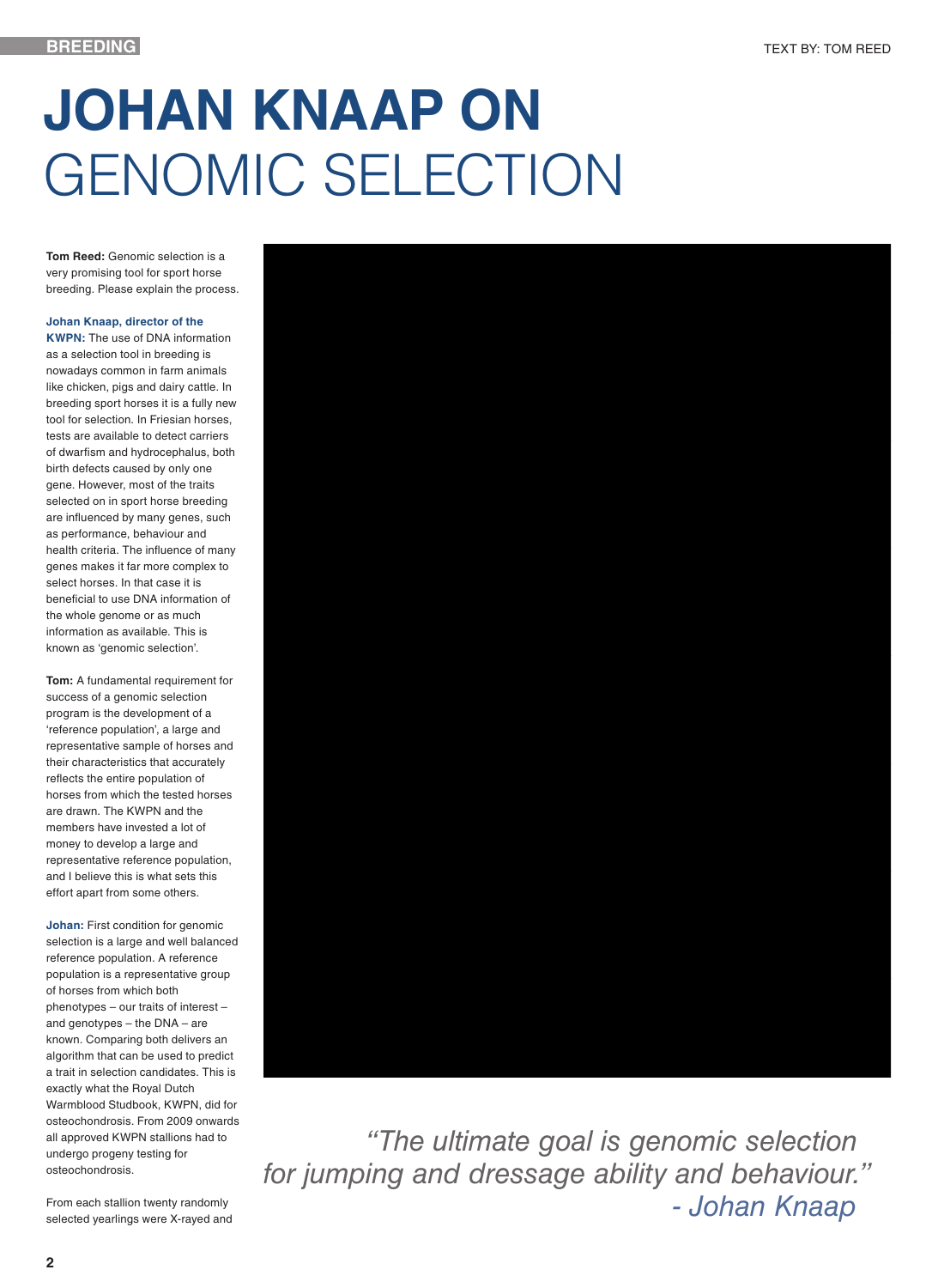## **JOHAN KNAAP ON**  GENOMIC SELECTION

**Tom Reed:** Genomic selection is a very promising tool for sport horse breeding. Please explain the process.

## **Johan Knaap, director of the**

**KWPN:** The use of DNA information as a selection tool in breeding is nowadays common in farm animals like chicken, pigs and dairy cattle. In breeding sport horses it is a fully new tool for selection. In Friesian horses, tests are available to detect carriers of dwarfism and hydrocephalus, both birth defects caused by only one gene. However, most of the traits selected on in sport horse breeding are influenced by many genes, such as performance, behaviour and health criteria. The influence of many genes makes it far more complex to select horses. In that case it is beneficial to use DNA information of the whole genome or as much information as available. This is known as 'genomic selection'.

**Tom:** A fundamental requirement for success of a genomic selection program is the development of a 'reference population', a large and representative sample of horses and their characteristics that accurately reflects the entire population of horses from which the tested horses are drawn. The KWPN and the members have invested a lot of money to develop a large and representative reference population, and I believe this is what sets this effort apart from some others.

**Johan:** First condition for genomic selection is a large and well balanced reference population. A reference population is a representative group of horses from which both phenotypes – our traits of interest – and genotypes – the DNA – are known. Comparing both delivers an algorithm that can be used to predict a trait in selection candidates. This is exactly what the Royal Dutch Warmblood Studbook, KWPN, did for osteochondrosis. From 2009 onwards all approved KWPN stallions had to undergo progeny testing for osteochondrosis.

From each stallion twenty randomly selected yearlings were X-rayed and

 *"The ultimate goal is genomic selection for jumping and dressage ability and behaviour." - Johan Knaap*